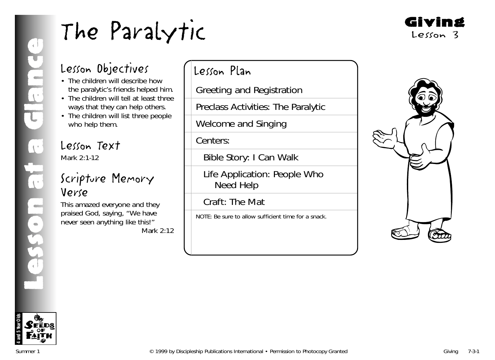

# Lesson Objectives

- The children will describe how the paralytic's friends helped him.
- The children will tell at least three ways that they can help others.
- The children will list three people who help them.

# Lesson Text

Mark 2:1-12

# Scripture Memory Verse

This amazed everyone and they praised God, saying, "We have never seen anything like this!" *Mark 2:12*

# Lesson Plan

Greeting and Registration

Preclass Activities: The Paralytic

Welcome and Singing

Centers:

Bible Story: I Can Walk

Life Application: People Who Need Help

Craft: The Mat

NOTE: Be sure to allow sufficient time for a snack.



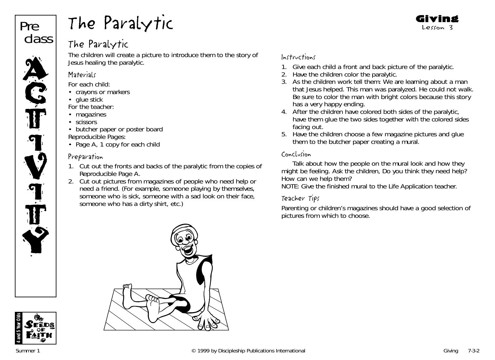

# The Paralytic

The children will create a picture to introduce them to the story of Jesus healing the paralytic.

# **Materials**

*For each child:*

- crayons or markers
- glue stick

*For the teacher:*

- magazines
- scissors

• butcher paper or poster board

- *Reproducible Pages:*
- Page A, 1 copy for each child

# Preparation

- 1. Cut out the fronts and backs of the paralytic from the copies of Reproducible Page A.
- 2. Cut out pictures from magazines of people who need help or need a friend. (For example, someone playing by themselves, someone who is sick, someone with a sad look on their face, someone who has a dirty shirt, etc.)

# Instructions

- 1. Give each child a front and back picture of the paralytic.
- 2. Have the children color the paralytic.
- 3. As the children work tell them: *We are learning about a man that Jesus helped. This man was paralyzed. He could not walk. Be sure to color the man with bright colors because this story has a very happy ending.*

Giving Lesson 3

- 4. After the children have colored both sides of the paralytic, have them glue the two sides together with the colored sides facing out.
- 5. Have the children choose a few magazine pictures and glue them to the butcher paper creating a mural.

# Conclusion

Talk about how the people on the mural look and how they might be feeling. Ask the children, *Do you think they need help? How can we help them?*

NOTE: Give the finished mural to the Life Application teacher.

# Teacher Tips

Parenting or children's magazines should have a good selection of pictures from which to choose.



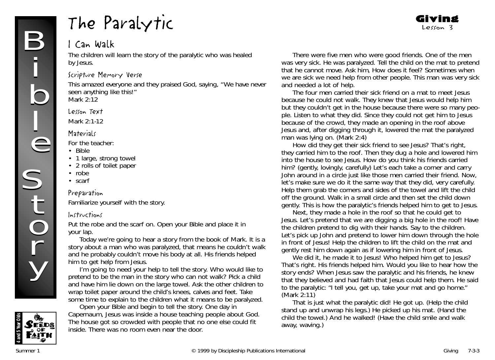# I Can Walk

The children will learn the story of the paralytic who was healed by Jesus.

#### Scripture Memory Verse

This amazed everyone and they praised God, saying, "We have never seen anything like this!" *Mark 2:12*

#### Lesson Text

Mark 2:1-12

#### **Materials**

*For the teacher:*

- Bible
- 1 large, strong towel
- 2 rolls of toilet paper
- robe
- scarf

## Preparation

Familiarize yourself with the story.

## Instructions

Put the robe and the scarf on. Open your Bible and place it in your lap.

*Today we're going to hear a story from the book of Mark. It is a story about a man who was paralyzed, that means he couldn't walk and he probably couldn't move his body at all. His friends helped him to get help from Jesus.*

*I'm going to need your help to tell the story. Who would like to pretend to be the man in the story who can not walk?* Pick a child and have him lie down on the large towel. Ask the other children to wrap toilet paper around the child's knees, calves and feet. Take some time to explain to the children what it means to be paralyzed.

**4 and 5 Year Olds FEDS** 

Open your Bible and begin to tell the story. *One day in Capernaum, Jesus was inside a house teaching people about God. The house got so crowded with people that no one else could fit inside. There was no room even near the door.*

*There were five men who were good friends. One of the men was very sick. He was paralyzed.* Tell the child on the mat to pretend that he cannot move. Ask him, *How does it feel? Sometimes when we are sick we need help from other people. This man was very sick and needed a lot of help.*

Giving Lesson 3

*The four men carried their sick friend on a mat to meet Jesus because he could not walk. They knew that Jesus would help him but they couldn't get in the house because there were so many people. Listen to what they did. Since they could not get him to Jesus because of the crowd, they made an opening in the roof above Jesus and, after digging through it, lowered the mat the paralyzed man was lying on. (Mark 2:4)*

*How did they get their sick friend to see Jesus? That's right, they carried him to the roof. Then they dug a hole and lowered him into the house to see Jesus. How do you think his friends carried him?* (gently, lovingly, carefully*) Let's each take a corner and carry John around in a circle just like those men carried their friend. Now, let's make sure we do it the same way that they did, very carefully.* Help them grab the corners and sides of the towel and lift the child off the ground. Walk in a small circle and then set the child down gently. *This is how the paralytic's friends helped him to get to Jesus.*

*Next, they made a hole in the roof so that he could get to Jesus. Let's pretend that we are digging a big hole in the roof!* Have the children pretend to dig with their hands. Say to the children. *Let's pick up John and pretend to lower him down through the hole in front of Jesus!* Help the children to lift the child on the mat and gently rest him down again as if lowering him in front of Jesus.

*We did it, he made it to Jesus! Who helped him get to Jesus? That's right. His friends helped him. Would you like to hear how the story ends? When Jesus saw the paralytic and his friends, he knew that they believed and had faith that Jesus could help them. He said to the paralytic: "I tell you, get up, take your mat and go home." (Mark 2:11)*

*That is just what the paralytic did! He got up.* (Help the child stand up and unwrap his legs.) *He picked up his mat.* (Hand the child the towel.) *And he walked! (*Have the child smile and walk away, waving.)

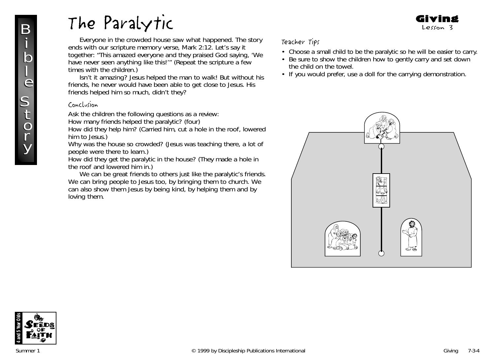*Everyone in the crowded house saw what happened. The story ends with our scripture memory verse, Mark 2:12. Let's say it together: "This amazed everyone and they praised God saying, 'We have never seen anything like this!'"* (Repeat the scripture a few times with the children.)

*Isn't it amazing? Jesus helped the man to walk! But without his friends, he never would have been able to get close to Jesus. His friends helped him so much, didn't they?*

#### Conclusion

Ask the children the following questions as a review:

How many friends helped the paralytic? (four)

How did they help him? (Carried him, cut a hole in the roof, lowered him to Jesus.)

Why was the house so crowded? (Jesus was teaching there, a lot of people were there to learn.)

How did they get the paralytic in the house? (They made a hole in the roof and lowered him in.)

*We can be great friends to others just like the paralytic's friends. We can bring people to Jesus too, by bringing them to church. We can also show them Jesus by being kind, by helping them and by loving them.*

## Teacher Tips

• Choose a small child to be the paralytic so he will be easier to carry.

Giving Lesson 3

- Be sure to show the children how to gently carry and set down the child on the towel.
- If you would prefer, use a doll for the carrying demonstration.





 $\bf{I}$ 

B

j<br>h

j<br>b<br>l

e e

**S** 

S<br>S

t  $\boldsymbol{0}$  $\mathbf{l}$ 

t  $\boldsymbol{0}$ r

y

y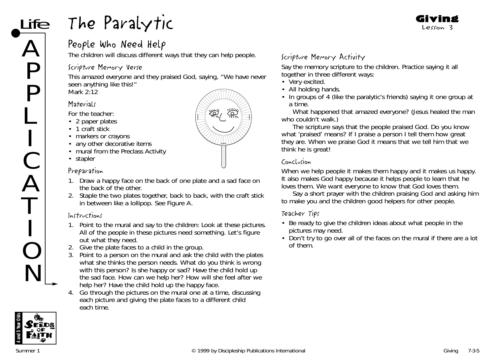# People Who Need Help

The children will discuss different ways that they can help people.

# Scripture Memory Verse

This amazed everyone and they praised God, saying, "We have never seen anything like this!" *Mark 2:12*

# **Materials**

ife

 $\boldsymbol{\mathcal{L}}$ 

P

P

L

I

C

A

T

I

O

N

*For the teacher:*

- 2 paper plates
- 1 craft stick
- markers or crayons
- any other decorative items
- mural from the Preclass Activity
- stapler

#### Preparation

- 1. Draw a happy face on the back of one plate and a sad face on the back of the other.
- 2. Staple the two plates together, back to back, with the craft stick in between like a lollipop. See Figure A.

## Instructions

- 1. Point to the mural and say to the children: *Look at these pictures. All of the people in these pictures need something. Let's figure out what they need.*
- 2. Give the plate faces to a child in the group.
- 3. Point to a person on the mural and ask the child with the plates what she thinks the person needs. *What do you think is wrong with this person? Is she happy or sad?* Have the child hold up the sad face. *How can we help her? How will she feel after we help her?* Have the child hold up the happy face.
- 4. Go through the pictures on the mural one at a time, discussing each picture and giving the plate faces to a different child each time.

# Scripture Memory Activity

Say the memory scripture to the children. Practice saying it all together in three different ways:

- Very excited.
- All holding hands.
- In groups of 4 (like the paralytic's friends) saying it one group at a time.

*What happened that amazed everyone?* (Jesus healed the man who couldn't walk.)

*The scripture says that the people praised God. Do you know what 'praised' means? If I praise a person I tell them how great they are. When we praise God it means that we tell him that we think he is great!*

#### Conclusion

*When we help people it makes them happy and it makes us happy. It also makes God happy because it helps people to learn that he loves them. We want everyone to know that God loves them.*

Say a short prayer with the children praising God and asking him to make you and the children good helpers for other people.

## Teacher Tips

- Be ready to give the children ideas about what people in the pictures may need.
- Don't try to go over all of the faces on the mural if there are a lot of them.



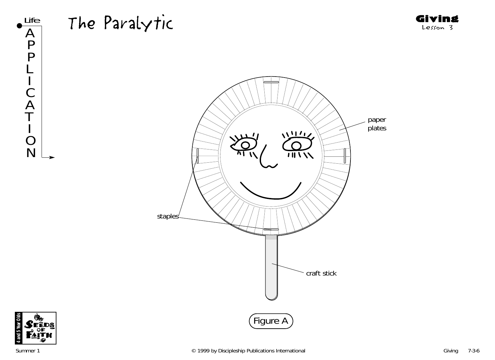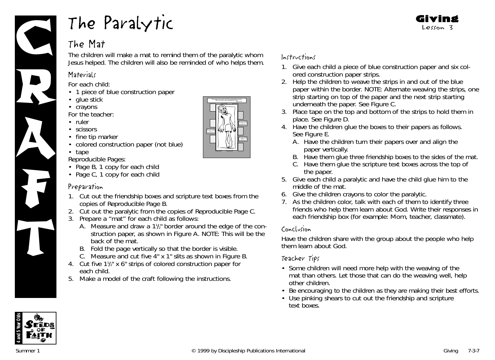

# The Mat

The children will make a mat to remind them of the paralytic whom Jesus helped. The children will also be reminded of who helps them.

# **Materials**

*For each child:*

- 1 piece of blue construction paper
- glue stick
- crayons

*For the teacher:*

- ruler
- scissors
- fine tip marker
- colored construction paper (not blue)
- tape

*Reproducible Pages:*

- Page B, 1 copy for each child
- Page C, 1 copy for each child

## Preparation

- 1. Cut out the friendship boxes and scripture text boxes from the copies of Reproducible Page B.
- 2. Cut out the paralytic from the copies of Reproducible Page C.
- 3. Prepare a "mat" for each child as follows:
	- A. Measure and draw a  $1\frac{1}{2}$  border around the edge of the construction paper, as shown in Figure A. NOTE: This will be the back of the mat.
	- B. Fold the page vertically so that the border is visible.
	- C. Measure and cut five 4" x 1" slits as shown in Figure B.
- 4. Cut five 11/2" x 6" strips of colored construction paper for each child.
- 5. Make a model of the craft following the instructions.

# Instructions

- 1. Give each child a piece of blue construction paper and six colored construction paper strips.
- 2. Help the children to weave the strips in and out of the blue paper within the border. NOTE: Alternate weaving the strips, one strip starting on top of the paper and the next strip starting underneath the paper. See Figure C.
- 3. Place tape on the top and bottom of the strips to hold them in place. See Figure D.
- 4. Have the children glue the boxes to their papers as follows. See Figure E.
	- A. Have the children turn their papers over and align the paper vertically.
	- B. Have them glue three friendship boxes to the sides of the mat.
	- C. Have them glue the scripture text boxes across the top of the paper.
- 5. Give each child a paralytic and have the child glue him to the middle of the mat.
- 6. Give the children crayons to color the paralytic.
- 7. As the children color, talk with each of them to identify three friends who help them learn about God. Write their responses in each friendship box (for example: Mom, teacher, classmate).

## Conclusion

Have the children share with the group about the people who help them learn about God.

## Teacher Tips

- Some children will need more help with the weaving of the mat than others. Let those that can do the weaving well, help other children.
- Be encouraging to the children as they are making their best efforts.
- Use pinking shears to cut out the friendship and scripture text boxes.

**4 and 5 Year Olds**





Friends Help! Penni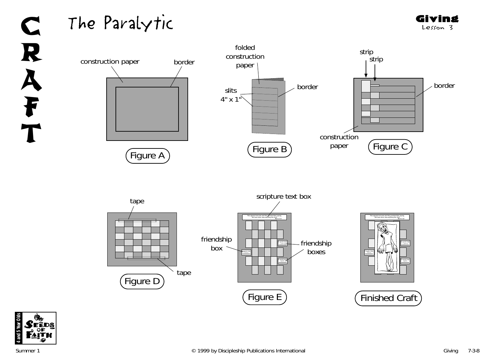

Giving Lesson 3



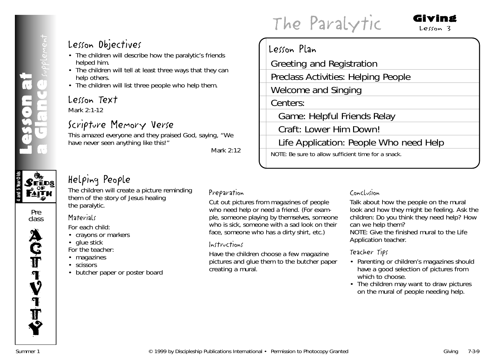# **4 and 5 Year Olds**  $\mathcal{S}$ eēds **АІТН**

Pre class



# Lesson Objectives

- The children will describe how the paralytic's friends helped him.
- The children will tell at least three ways that they can help others.
- The children will list three people who help them.

# Lesson Text

Mark 2:1-12

# Scripture Memory Verse

This amazed everyone and they praised God, saying, "We have never seen anything like this!"

*Mark 2:12*

# Helping People

The children will create a picture reminding them of the story of Jesus healing the paralytic.

# *For each child:* • crayons or markers

- glue stick *For the teacher:*
- magazines
- scissors

**Materials** 

• butcher paper or poster board

## Preparation

Cut out pictures from magazines of people who need help or need a friend. (For example, someone playing by themselves, someone who is sick, someone with a sad look on their face, someone who has a dirty shirt, etc.)

Lesson Plan

Centers:

Greeting and Registration

Welcome and Singing

Preclass Activities: Helping People

Game: Helpful Friends Relay

NOTE: Be sure to allow sufficient time for a snack.

Craft: Lower Him Down!

## Instructions

Have the children choose a few magazine pictures and glue them to the butcher paper creating a mural.

## Conclusion

Life Application: People Who need Help

Talk about how the people on the mural look and how they might be feeling. Ask the children: *Do you think they need help? How can we help them?* NOTE: Give the finished mural to the Life

Application teacher.

# Teacher Tips

- Parenting or children's magazines should have a good selection of pictures from which to choose.
- The children may want to draw pictures on the mural of people needing help.

# The Paralytic

#### Giving Lesson 3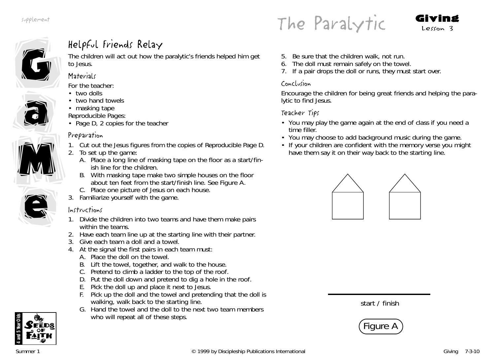The Paralytic  $Givin_3$ 





a

a

# Helpful Friends Relay

The children will act out how the paralytic's friends helped him get to Jesus.

## **Materials**

*For the teacher:*

- two dolls
- two hand towels
- masking tape
- *Reproducible Pages:*
- Page D, 2 copies for the teacher

# Preparation

- 1. Cut out the Jesus figures from the copies of Reproducible Page D.
- 2. To set up the game:
	- A. Place a long line of masking tape on the floor as a start/finish line for the children.
	- B. With masking tape make two simple houses on the floor about ten feet from the start/finish line. See Figure A.
	- C. Place one picture of Jesus on each house.
- 3. Familiarize yourself with the game.

# Instructions

- 1. Divide the children into two teams and have them make pairs within the teams.
- 2. Have each team line up at the starting line with their partner.
- 3. Give each team a doll and a towel.
- 4. At the signal the first pairs in each team must:
	- A. Place the doll on the towel.
	- B. Lift the towel, together, and walk to the house.
	- C. Pretend to climb a ladder to the top of the roof.
	- D. Put the doll down and pretend to dig a hole in the roof.
	- E. Pick the doll up and place it next to Jesus.
	- F. Pick up the doll and the towel and pretending that the doll is walking, walk back to the starting line.
	- G. Hand the towel and the doll to the next two team members who will repeat all of these steps.
- 5. Be sure that the children walk, not run.
- 6. The doll must remain safely on the towel.
- 7. If a pair drops the doll or runs, they must start over.

# Conclusion

Encourage the children for being great friends and helping the paralytic to find Jesus.

# Teacher Tips

- You may play the game again at the end of class if you need a time filler.
- You may choose to add background music during the game.
- If your children are confident with the memory verse you might have them say it on their way back to the starting line.









e

**extract** 

M

M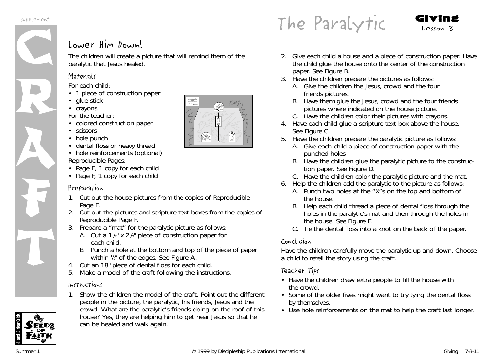supplement



# Lower Him Down!

The children will create a picture that will remind them of the paralytic that Jesus healed.

## **Materials**

*For each child:*

- 1 piece of construction paper
- glue stick
- crayons

*For the teacher:*

- colored construction paper
- scissors
- hole punch
- dental floss or heavy thread
- hole reinforcements (optional) *Reproducible Pages:*
- Page E, 1 copy for each child
- Page F, 1 copy for each child

## Preparation

- 1. Cut out the house pictures from the copies of Reproducible Page E.
- 2. Cut out the pictures and scripture text boxes from the copies of Reproducible Page F.
- 3. Prepare a "mat" for the paralytic picture as follows:
	- A. Cut a 1½" x 2½" piece of construction paper for each child.
	- B. Punch a hole at the bottom and top of the piece of paper within 1 /2" of the edges. See Figure A.
- 4. Cut an 18" piece of dental floss for each child.
- 5. Make a model of the craft following the instructions.

## Instructions

1. Show the children the model of the craft. Point out the different people in the picture, the paralytic, his friends, Jesus and the crowd. *What are the paralytic's friends doing on the roof of this house? Yes, they are helping him to get near Jesus so that he can be healed and walk again.*

- 2. Give each child a house and a piece of construction paper. Have the child glue the house onto the center of the construction paper. See Figure B.
- 3. Have the children prepare the pictures as follows:
	- A. Give the children the Jesus, crowd and the four friends pictures.
	- B. Have them glue the Jesus, crowd and the four friends pictures where indicated on the house picture.
	- C. Have the children color their pictures with crayons.
- 4. Have each child glue a scripture text box above the house. See Figure C.
- 5. Have the children prepare the paralytic picture as follows:
	- A. Give each child a piece of construction paper with the punched holes.
	- B. Have the children glue the paralytic picture to the construction paper. See Figure D.
	- C. Have the children color the paralytic picture and the mat.
- 6. Help the children add the paralytic to the picture as follows:
	- A. Punch two holes at the "X"s on the top and bottom of the house.
	- B. Help each child thread a piece of dental floss through the holes in the paralytic's mat and then through the holes in the house. See Figure E.
	- C. Tie the dental floss into a knot on the back of the paper.

## Conclusion

Have the children carefully move the paralytic up and down. Choose a child to retell the story using the craft.

## Teacher Tips

- Have the children draw extra people to fill the house with the crowd.
- Some of the older fives might want to try tying the dental floss by themselves.
- Use hole reinforcements on the mat to help the craft last longer.

**4 and 5 Year Olds**



The Paralytic  $Givin$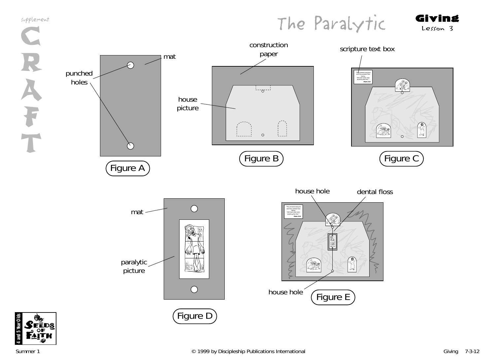





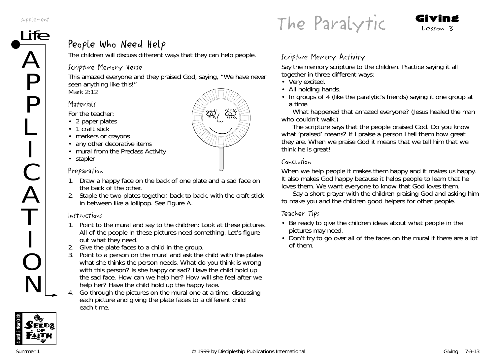supplement

 $\boldsymbol{\mathcal{L}}$ 

P

P

L

I

C

A

T

I

O

N

plement<br>Ife  $\sum_{\text{R}}$  Lesson 3

# People Who Need Help

The children will discuss different ways that they can help people.

# Scripture Memory Verse

This amazed everyone and they praised God, saying, "We have never seen anything like this!" *Mark 2:12*

# **Materials**

*For the teacher:*

- 2 paper plates
- 1 craft stick
- markers or crayons
- any other decorative items
- mural from the Preclass Activity
- stapler

# Preparation

- 1. Draw a happy face on the back of one plate and a sad face on the back of the other.
- 2. Staple the two plates together, back to back, with the craft stick in between like a lollipop. See Figure A.

# Instructions

- 1. Point to the mural and say to the children: *Look at these pictures. All of the people in these pictures need something. Let's figure out what they need.*
- 2. Give the plate faces to a child in the group.
- 3. Point to a person on the mural and ask the child with the plates what she thinks the person needs. *What do you think is wrong* with this person? Is she happy or sad? Have the child hold up the sad face. *How can we help her? How will she feel after we help her?* Have the child hold up the happy face.
- 4. Go through the pictures on the mural one at a time, discussing each picture and giving the plate faces to a different child each time.

# Scripture Memory Activity

Say the memory scripture to the children. Practice saying it all together in three different ways:

- Very excited.
- All holding hands.
- In groups of 4 (like the paralytic's friends) saying it one group at a time.

*What happened that amazed everyone?* (Jesus healed the man who couldn't walk.)

*The scripture says that the people praised God. Do you know what 'praised' means? If I praise a person I tell them how great they are. When we praise God it means that we tell him that we think he is great!*

# Conclusion

*When we help people it makes them happy and it makes us happy. It also makes God happy because it helps people to learn that he loves them. We want everyone to know that God loves them.*

Say a short prayer with the children praising God and asking him to make you and the children good helpers for other people.

# Teacher Tips

- Be ready to give the children ideas about what people in the pictures may need.
- Don't try to go over all of the faces on the mural if there are a lot of them.



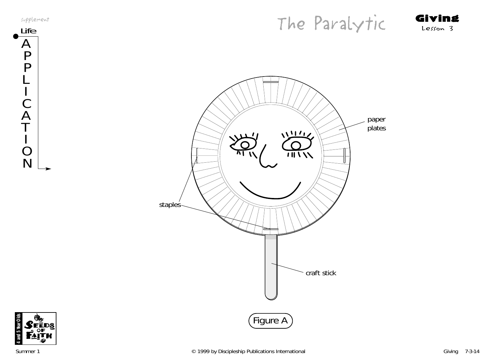







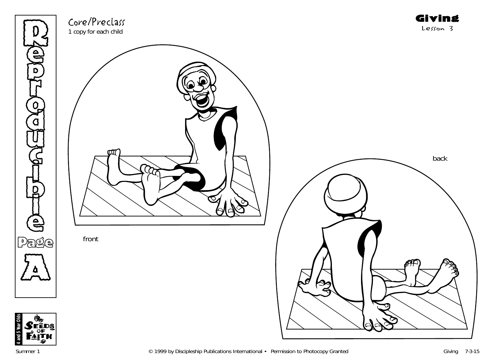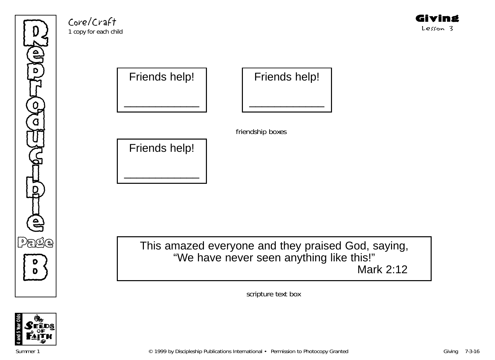Refer p **THE** ِ<br>م )<br>አ U  $\mathbb{G}% _{n}^{X}$ )<br>D to H l e Page **B** 

Core/Craft 1 copy for each child



Friends help!

\_\_\_\_\_\_\_\_\_\_\_\_

This amazed everyone and they praised God, saying, "We have never seen anything like this!" Mark 2:12

scripture text box

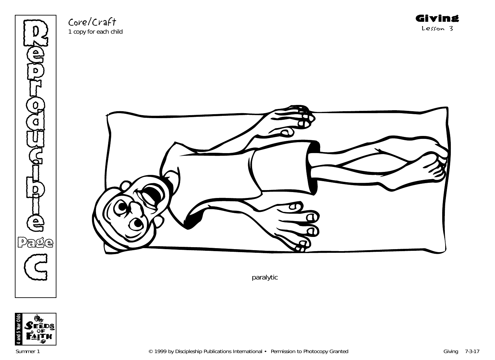

Core/Craft 1 copy for each child



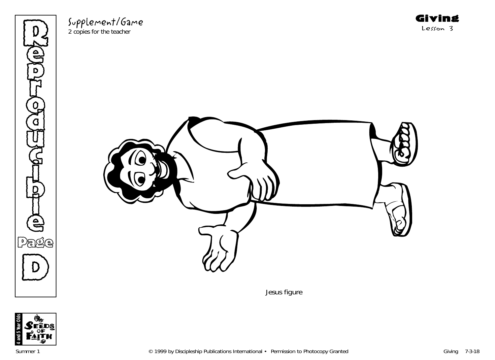

Supplement/Game

2 copies for the teacher



Jesus figure

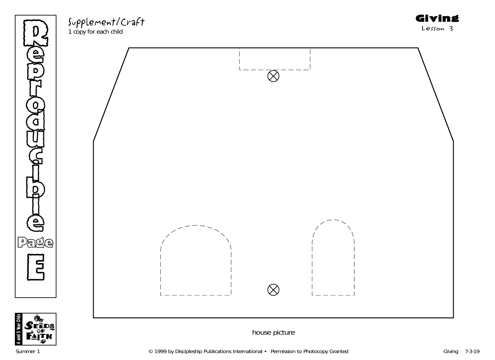

Supplement/Craft

1 copy for each child



**4 and 5 Year Olds**

Giving Lesson 3